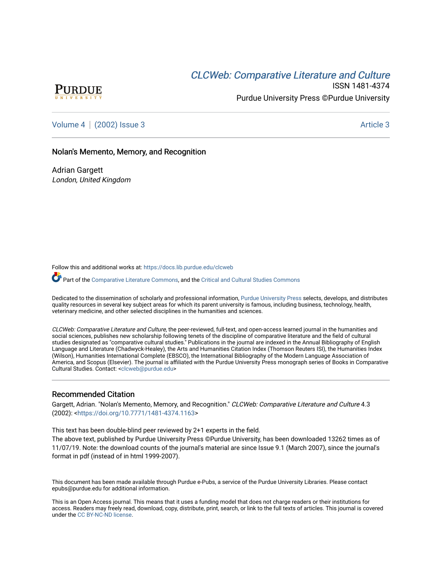# CLCW[eb: Comparative Liter](https://docs.lib.purdue.edu/clcweb)ature and Culture



ISSN 1481-4374 Purdue University Press ©Purdue University

[Volume 4](https://docs.lib.purdue.edu/clcweb/vol4) | [\(2002\) Issue 3](https://docs.lib.purdue.edu/clcweb/vol4/iss3) Article 3

## Nolan's Memento, Memory, and Recognition

Adrian Gargett London, United Kingdom

Follow this and additional works at: [https://docs.lib.purdue.edu/clcweb](https://docs.lib.purdue.edu/clcweb?utm_source=docs.lib.purdue.edu%2Fclcweb%2Fvol4%2Fiss3%2F3&utm_medium=PDF&utm_campaign=PDFCoverPages)

Part of the [Comparative Literature Commons,](http://network.bepress.com/hgg/discipline/454?utm_source=docs.lib.purdue.edu%2Fclcweb%2Fvol4%2Fiss3%2F3&utm_medium=PDF&utm_campaign=PDFCoverPages) and the [Critical and Cultural Studies Commons](http://network.bepress.com/hgg/discipline/328?utm_source=docs.lib.purdue.edu%2Fclcweb%2Fvol4%2Fiss3%2F3&utm_medium=PDF&utm_campaign=PDFCoverPages) 

Dedicated to the dissemination of scholarly and professional information, [Purdue University Press](http://www.thepress.purdue.edu/) selects, develops, and distributes quality resources in several key subject areas for which its parent university is famous, including business, technology, health, veterinary medicine, and other selected disciplines in the humanities and sciences.

CLCWeb: Comparative Literature and Culture, the peer-reviewed, full-text, and open-access learned journal in the humanities and social sciences, publishes new scholarship following tenets of the discipline of comparative literature and the field of cultural studies designated as "comparative cultural studies." Publications in the journal are indexed in the Annual Bibliography of English Language and Literature (Chadwyck-Healey), the Arts and Humanities Citation Index (Thomson Reuters ISI), the Humanities Index (Wilson), Humanities International Complete (EBSCO), the International Bibliography of the Modern Language Association of America, and Scopus (Elsevier). The journal is affiliated with the Purdue University Press monograph series of Books in Comparative Cultural Studies. Contact: [<clcweb@purdue.edu](mailto:clcweb@purdue.edu)>

### Recommended Citation

Gargett, Adrian. "Nolan's Memento, Memory, and Recognition." CLCWeb: Comparative Literature and Culture 4.3 (2002): [<https://doi.org/10.7771/1481-4374.1163](https://doi.org/10.7771/1481-4374.1163)>

This text has been double-blind peer reviewed by 2+1 experts in the field.

The above text, published by Purdue University Press ©Purdue University, has been downloaded 13262 times as of 11/07/19. Note: the download counts of the journal's material are since Issue 9.1 (March 2007), since the journal's format in pdf (instead of in html 1999-2007).

This document has been made available through Purdue e-Pubs, a service of the Purdue University Libraries. Please contact epubs@purdue.edu for additional information.

This is an Open Access journal. This means that it uses a funding model that does not charge readers or their institutions for access. Readers may freely read, download, copy, distribute, print, search, or link to the full texts of articles. This journal is covered under the [CC BY-NC-ND license.](https://creativecommons.org/licenses/by-nc-nd/4.0/)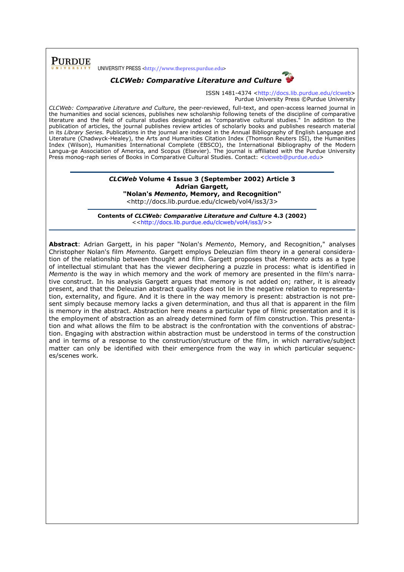

# CLCWeb: Comparative Literature and Culture



ISSN 1481-4374 <http://docs.lib.purdue.edu/clcweb> Purdue University Press ©Purdue University

CLCWeb: Comparative Literature and Culture, the peer-reviewed, full-text, and open-access learned journal in the humanities and social sciences, publishes new scholarship following tenets of the discipline of comparative literature and the field of cultural studies designated as "comparative cultural studies." In addition to the publication of articles, the journal publishes review articles of scholarly books and publishes research material in its Library Series. Publications in the journal are indexed in the Annual Bibliography of English Language and Literature (Chadwyck-Healey), the Arts and Humanities Citation Index (Thomson Reuters ISI), the Humanities Index (Wilson), Humanities International Complete (EBSCO), the International Bibliography of the Modern Langua-ge Association of America, and Scopus (Elsevier). The journal is affiliated with the Purdue University Press monog-raph series of Books in Comparative Cultural Studies. Contact: <clcweb@purdue.edu>

## CLCWeb Volume 4 Issue 3 (September 2002) Article 3 Adrian Gargett,

"Nolan's Memento, Memory, and Recognition"

<http://docs.lib.purdue.edu/clcweb/vol4/iss3/3>

Contents of CLCWeb: Comparative Literature and Culture 4.3 (2002) <<http://docs.lib.purdue.edu/clcweb/vol4/iss3/>>

Abstract: Adrian Gargett, in his paper "Nolan's Memento, Memory, and Recognition," analyses Christopher Nolan's film Memento. Gargett employs Deleuzian film theory in a general consideration of the relationship between thought and film. Gargett proposes that Memento acts as a type of intellectual stimulant that has the viewer deciphering a puzzle in process: what is identified in Memento is the way in which memory and the work of memory are presented in the film's narrative construct. In his analysis Gargett argues that memory is not added on; rather, it is already present, and that the Deleuzian abstract quality does not lie in the negative relation to representation, externality, and figure. And it is there in the way memory is present: abstraction is not present simply because memory lacks a given determination, and thus all that is apparent in the film is memory in the abstract. Abstraction here means a particular type of filmic presentation and it is the employment of abstraction as an already determined form of film construction. This presentation and what allows the film to be abstract is the confrontation with the conventions of abstraction. Engaging with abstraction within abstraction must be understood in terms of the construction and in terms of a response to the construction/structure of the film, in which narrative/subject matter can only be identified with their emergence from the way in which particular sequences/scenes work.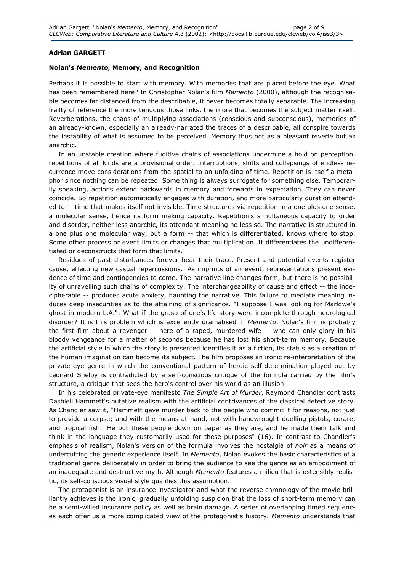## Adrian GARGETT

### Nolan's Memento, Memory, and Recognition

Perhaps it is possible to start with memory. With memories that are placed before the eye. What has been remembered here? In Christopher Nolan's film Memento (2000), although the recognisable becomes far distanced from the describable, it never becomes totally separable. The increasing frailty of reference the more tenuous those links, the more that becomes the subject matter itself. Reverberations, the chaos of multiplying associations (conscious and subconscious), memories of an already-known, especially an already-narrated the traces of a describable, all conspire towards the instability of what is assumed to be perceived. Memory thus not as a pleasant reverie but as anarchic.

In an unstable creation where fugitive chains of associations undermine a hold on perception, repetitions of all kinds are a provisional order. Interruptions, shifts and collapsings of endless recurrence move considerations from the spatial to an unfolding of time. Repetition is itself a metaphor since nothing can be repeated. Some thing is always surrogate for something else. Temporarily speaking, actions extend backwards in memory and forwards in expectation. They can never coincide. So repetition automatically engages with duration, and more particularly duration attended to -- time that makes itself not invisible. Time structures via repetition in a one plus one sense, a molecular sense, hence its form making capacity. Repetition's simultaneous capacity to order and disorder, neither less anarchic, its attendant meaning no less so. The narrative is structured in a one plus one molecular way, but a form -- that which is differentiated, knows where to stop. Some other process or event limits or changes that multiplication. It differentiates the undifferentiated or deconstructs that form that limits.

Residues of past disturbances forever bear their trace. Present and potential events register cause, effecting new casual repercussions. As imprints of an event, representations present evidence of time and contingencies to come. The narrative line changes form, but there is no possibility of unravelling such chains of complexity. The interchangeability of cause and effect -- the indecipherable -- produces acute anxiety, haunting the narrative. This failure to mediate meaning induces deep insecurities as to the attaining of significance. "I suppose I was looking for Marlowe's ghost in modern L.A.": What if the grasp of one's life story were incomplete through neurological disorder? It is this problem which is excellently dramatised in Memento. Nolan's film is probably the first film about a revenger -- here of a raped, murdered wife -- who can only glory in his bloody vengeance for a matter of seconds because he has lost his short-term memory. Because the artificial style in which the story is presented identifies it as a fiction, its status as a creation of the human imagination can become its subject. The film proposes an ironic re-interpretation of the private-eye genre in which the conventional pattern of heroic self-determination played out by Leonard Shelby is contradicted by a self-conscious critique of the formula carried by the film's structure, a critique that sees the hero's control over his world as an illusion.

In his celebrated private-eye manifesto The Simple Art of Murder, Raymond Chandler contrasts Dashiell Hammett's putative realism with the artificial contrivances of the classical detective story. As Chandler saw it, "Hammett gave murder back to the people who commit it for reasons, not just to provide a corpse; and with the means at hand, not with handwrought duelling pistols, curare, and tropical fish. He put these people down on paper as they are, and he made them talk and think in the language they customarily used for these purposes" (16). In contrast to Chandler's emphasis of realism, Nolan's version of the formula involves the nostalgia of *noir* as a means of undercutting the generic experience itself. In Memento, Nolan evokes the basic characteristics of a traditional genre deliberately in order to bring the audience to see the genre as an embodiment of an inadequate and destructive myth. Although Memento features a milieu that is ostensibly realistic, its self-conscious visual style qualifies this assumption.

The protagonist is an insurance investigator and what the reverse chronology of the movie brilliantly achieves is the ironic, gradually unfolding suspicion that the loss of short-term memory can be a semi-willed insurance policy as well as brain damage. A series of overlapping timed sequences each offer us a more complicated view of the protagonist's history. Memento understands that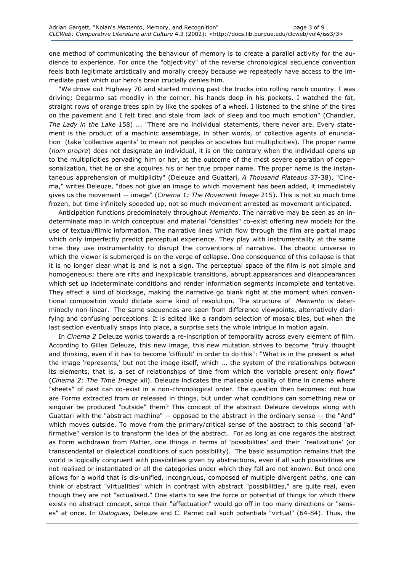one method of communicating the behaviour of memory is to create a parallel activity for the audience to experience. For once the "objectivity" of the reverse chronological sequence convention feels both legitimate artistically and morally creepy because we repeatedly have access to the immediate past which our hero's brain crucially denies him.

"We drove out Highway 70 and started moving past the trucks into rolling ranch country. I was driving; Degarmo sat moodily in the corner, his hands deep in his pockets. I watched the fat, straight rows of orange trees spin by like the spokes of a wheel. I listened to the shine of the tires on the pavement and I felt tired and stale from lack of sleep and too much emotion" (Chandler, The Lady in the Lake 158) ... "There are no individual statements, there never are. Every statement is the product of a machinic assemblage, in other words, of collective agents of enunciation (take 'collective agents' to mean not peoples or societies but multiplicities). The proper name (nom propre) does not designate an individual, it is on the contrary when the individual opens up to the multiplicities pervading him or her, at the outcome of the most severe operation of depersonalization, that he or she acquires his or her true proper name. The proper name is the instantaneous apprehension of multiplicity" (Deleuze and Guattari, A Thousand Plateaus 37-38). "Cinema," writes Deleuze, "does not give an image to which movement has been added, it immediately gives us the movement -- image" (Cinema 1: The Movement Image 215). This is not so much time frozen, but time infinitely speeded up, not so much movement arrested as movement anticipated.

Anticipation functions predominately throughout Memento. The narrative may be seen as an indeterminate map in which conceptual and material "densities" co-exist offering new models for the use of textual/filmic information. The narrative lines which flow through the film are partial maps which only imperfectly predict perceptual experience. They play with instrumentality at the same time they use instrumentality to disrupt the conventions of narrative. The chaotic universe in which the viewer is submerged is on the verge of collapse. One consequence of this collapse is that it is no longer clear what is and is not a sign. The perceptual space of the film is not simple and homogeneous: there are rifts and inexplicable transitions, abrupt appearances and disappearances which set up indeterminate conditions and render information segments incomplete and tentative. They effect a kind of blockage, making the narrative go blank right at the moment when conventional composition would dictate some kind of resolution. The structure of Memento is determinedly non-linear. The same sequences are seen from difference viewpoints, alternatively clarifying and confusing perceptions. It is edited like a random selection of mosaic tiles, but when the last section eventually snaps into place, a surprise sets the whole intrigue in motion again.

In Cinema 2 Deleuze works towards a re-inscription of temporality across every element of film. According to Gilles Deleuze, this new image, this new mutation strives to become "truly thought and thinking, even if it has to become 'difficult' in order to do this": "What is in the present is what the image 'represents,' but not the image itself, which ... the system of the relationships between its elements, that is, a set of relationships of time from which the variable present only flows" (Cinema 2: The Time Image xii). Deleuze indicates the malleable quality of time in cinema where "sheets" of past can co-exist in a non-chronological order. The question then becomes: not how are Forms extracted from or released in things, but under what conditions can something new or singular be produced "outside" them? This concept of the abstract Deleuze develops along with Guattari with the "abstract machine" -- opposed to the abstract in the ordinary sense -- the "And" which moves outside. To move from the primary/critical sense of the abstract to this second "affirmative" version is to transform the idea of the abstract. For as long as one regards the abstract as Form withdrawn from Matter, one things in terms of 'possibilities' and their 'realizations' (or transcendental or dialectical conditions of such possibility). The basic assumption remains that the world is logically congruent with possibilities given by abstractions, even if all such possibilities are not realised or instantiated or all the categories under which they fall are not known. But once one allows for a world that is dis-unified, incongruous, composed of multiple divergent paths, one can think of abstract "virtualities" which in contrast with abstract "possibilities," are quite real, even though they are not "actualised." One starts to see the force or potential of things for which there exists no abstract concept, since their "effectuation" would go off in too many directions or "senses" at once. In Dialogues, Deleuze and C. Parnet call such potentials "virtual" (64-84). Thus, the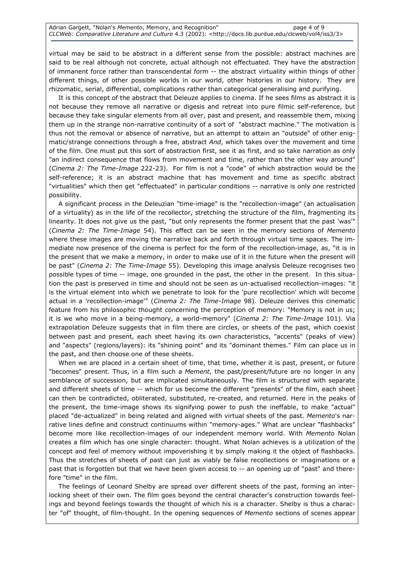virtual may be said to be abstract in a different sense from the possible: abstract machines are said to be real although not concrete, actual although not effectuated. They have the abstraction of immanent force rather than transcendental form -- the abstract virtuality within things of other different things, of other possible worlds in our world, other histories in our history. They are rhizomatic, serial, differential, complications rather than categorical generalising and purifying.

It is this concept of the abstract that Deleuze applies to cinema. If he sees films as abstract it is not because they remove all narrative or digesis and retreat into pure filmic self-reference, but because they take singular elements from all over, past and present, and reassemble them, mixing them up in the strange non-narrative continuity of a sort of "abstract machine." The motivation is thus not the removal or absence of narrative, but an attempt to attain an "outside" of other enigmatic/strange connections through a free, abstract And, which takes over the movement and time of the film. One must put this sort of abstraction first, see it as first, and so take narration as only "an indirect consequence that flows from movement and time, rather than the other way around" (Cinema 2: The Time-Image 222-23). For film is not a "code" of which abstraction would be the self-reference; it is an abstract machine that has movement and time as specific abstract "virtualities" which then get "effectuated" in particular conditions -- narrative is only one restricted possibility.

A significant process in the Deleuzian "time-image" is the "recollection-image" (an actualisation of a virtuality) as in the life of the recollector, stretching the structure of the film, fragmenting its linearity. It does not give us the past, "but only represents the former present that the past 'was'" (Cinema 2: The Time-Image 54). This effect can be seen in the memory sections of Memento where these images are moving the narrative back and forth through virtual time spaces. The immediate now presence of the cinema is perfect for the form of the recollection-image, as, "it is in the present that we make a memory, in order to make use of it in the future when the present will be past" (Cinema 2: The Time-Image 55). Developing this image analysis Deleuze recognises two possible types of time -- image, one grounded in the past, the other in the present. In this situation the past is preserved in time and should not be seen as un-actualised recollection-images: "it is the virtual element into which we penetrate to look for the 'pure recollection' which will become actual in a 'recollection-image'" (Cinema 2: The Time-Image 98). Deleuze derives this cinematic feature from his philosophic thought concerning the perception of memory: "Memory is not in us; it is we who move in a being-memory, a world-memory" (Cinema 2: The Time-Image 101). Via extrapolation Deleuze suggests that in film there are circles, or sheets of the past, which coexist between past and present, each sheet having its own characteristics, "accents" (peaks of view) and "aspects" (regions/layers): its "shining point" and its "dominant themes." Film can place us in the past, and then choose one of these sheets.

When we are placed in a certain sheet of time, that time, whether it is past, present, or future "becomes" present. Thus, in a film such a Mement, the past/present/future are no longer in any semblance of succession, but are implicated simultaneously. The film is structured with separate and different sheets of time -- which for us become the different "presents" of the film, each sheet can then be contradicted, obliterated, substituted, re-created, and returned. Here in the peaks of the present, the time-image shows its signifying power to push the ineffable, to make "actual" placed "de-actualized" in being related and aligned with virtual sheets of the past. Memento's narrative lines define and construct continuums within "memory-ages." What are unclear "flashbacks" become more like recollection-images of our independent memory world. With Memento Nolan creates a film which has one single character: thought. What Nolan achieves is a utilization of the concept and feel of memory without impoverishing it by simply making it the object of flashbacks. Thus the stretches of sheets of past can just as viably be false recollections or imaginations or a past that is forgotten but that we have been given access to -- an opening up of "past" and therefore "time" in the film.

The feelings of Leonard Shelby are spread over different sheets of the past, forming an interlocking sheet of their own. The film goes beyond the central character's construction towards feelings and beyond feelings towards the thought of which his is a character. Shelby is thus a character "of" thought, of film-thought. In the opening sequences of Memento sections of scenes appear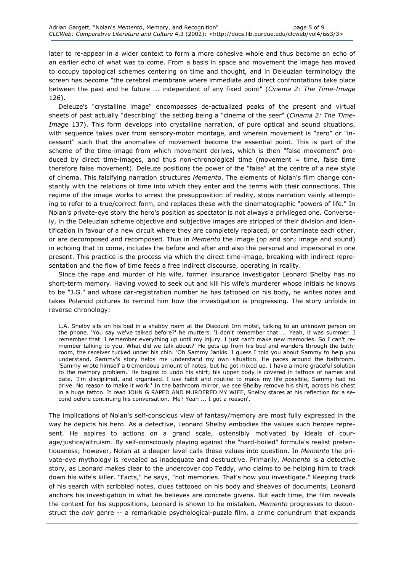later to re-appear in a wider context to form a more cohesive whole and thus become an echo of an earlier echo of what was to come. From a basis in space and movement the image has moved to occupy topological schemes centering on time and thought, and in Deleuzian terminology the screen has become "the cerebral membrane where immediate and direct confrontations take place between the past and he future ... independent of any fixed point" (Cinema 2: The Time-Image 126).

Deleuze's "crystalline image" encompasses de-actualized peaks of the present and virtual sheets of past actually "describing" the setting being a "cinema of the seer" (Cinema 2: The Time-Image 137). This form develops into crystalline narration, of pure optical and sound situations, with sequence takes over from sensory-motor montage, and wherein movement is "zero" or "incessant" such that the anomalies of movement become the essential point. This is part of the scheme of the time-image from which movement derives, which is then "false movement" produced by direct time-images, and thus non-chronological time (movement = time, false time therefore false movement). Deleuze positions the power of the "false" at the centre of a new style of cinema. This falsifying narration structures Memento. The elements of Nolan's film change constantly with the relations of time into which they enter and the terms with their connections. This regime of the image works to arrest the presupposition of reality, stops narration vainly attempting to refer to a true/correct form, and replaces these with the cinematographic "powers of life." In Nolan's private-eye story the hero's position as spectator is not always a privileged one. Conversely, in the Deleuzian scheme objective and subjective images are stripped of their division and identification in favour of a new circuit where they are completely replaced, or contaminate each other, or are decomposed and recomposed. Thus in Memento the image (op and son; image and sound) in echoing that to come, includes the before and after and also the personal and impersonal in one present. This practice is the process via which the direct time-image, breaking with indirect representation and the flow of time feeds a free indirect discourse, operating in reality.

Since the rape and murder of his wife, former insurance investigator Leonard Shelby has no short-term memory. Having vowed to seek out and kill his wife's murderer whose initials he knows to be "J.G." and whose car-registration number he has tattooed on his body, he writes notes and takes Polaroid pictures to remind him how the investigation is progressing. The story unfolds in reverse chronology:

L.A. Shelby sits on his bed in a shabby room at the Discount Inn motel, talking to an unknown person on the phone. 'You say we've talked before?' he mutters. 'I don't remember that ... Yeah, it was summer. I remember that. I remember everything up until my injury. I just can't make new memories. So I can't remember talking to you. What did we talk about?' He gets up from his bed and wanders through the bathroom, the receiver tucked under his chin. 'Oh Sammy Jankis. I guess I told you about Sammy to help you understand. Sammy's story helps me understand my own situation. He paces around the bathroom. 'Sammy wrote himself a tremendous amount of notes, but he got mixed up. I have a more graceful solution to the memory problem.' He begins to undo his shirt; his upper body is covered in tattoos of names and date. 'I'm disciplined, and organised. I use habit and routine to make my life possible, Sammy had no drive. No reason to make it work.' In the bathroom mirror, we see Shelby remove his shirt, across his chest in a huge tattoo. It read JOHN G RAPED AND MURDERED MY WIFE, Shelby stares at his reflection for a second before continuing his conversation. 'Me? Yeah ... I got a reason'.

The implications of Nolan's self-conscious view of fantasy/memory are most fully expressed in the way he depicts his hero. As a detective, Leonard Shelby embodies the values such heroes represent. He aspires to actions on a grand scale, ostensibly motivated by ideals of courage/justice/altruism. By self-consciously playing against the "hard-boiled" formula's realist pretentiousness; however, Nolan at a deeper level calls these values into question. In Memento the private-eye mythology is revealed as inadequate and destructive. Primarily, Memento is a detective story, as Leonard makes clear to the undercover cop Teddy, who claims to be helping him to track down his wife's killer. "Facts," he says, "not memories. That's how you investigate." Keeping track of his search with scribbled notes, clues tattooed on his body and sheaves of documents, Leonard anchors his investigation in what he believes are concrete givens. But each time, the film reveals the context for his suppositions, Leonard is shown to be mistaken. Memento progresses to deconstruct the noir genre -- a remarkable psychological-puzzle film, a crime conundrum that expands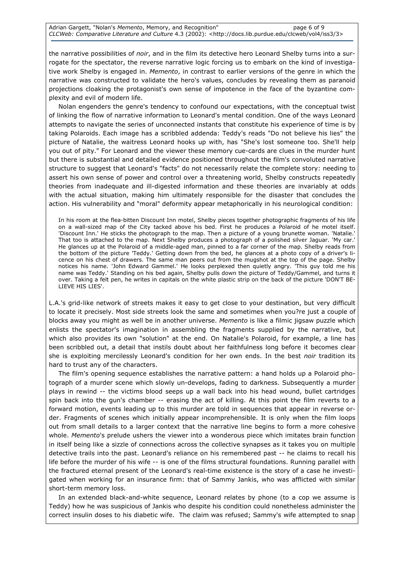the narrative possibilities of noir, and in the film its detective hero Leonard Shelby turns into a surrogate for the spectator, the reverse narrative logic forcing us to embark on the kind of investigative work Shelby is engaged in. Memento, in contrast to earlier versions of the genre in which the narrative was constructed to validate the hero's values, concludes by revealing them as paranoid projections cloaking the protagonist's own sense of impotence in the face of the byzantine complexity and evil of modern life.

Nolan engenders the genre's tendency to confound our expectations, with the conceptual twist of linking the flow of narrative information to Leonard's mental condition. One of the ways Leonard attempts to navigate the series of unconnected instants that constitute his experience of time is by taking Polaroids. Each image has a scribbled addenda: Teddy's reads "Do not believe his lies" the picture of Natalie, the waitress Leonard hooks up with, has "She's lost someone too. She'll help you out of pity." For Leonard and the viewer these memory cue-cards are clues in the murder hunt but there is substantial and detailed evidence positioned throughout the film's convoluted narrative structure to suggest that Leonard's "facts" do not necessarily relate the complete story: needing to assert his own sense of power and control over a threatening world, Shelby constructs repeatedly theories from inadequate and ill-digested information and these theories are invariably at odds with the actual situation, making him ultimately responsible for the disaster that concludes the action. His vulnerability and "moral" deformity appear metaphorically in his neurological condition:

In his room at the flea-bitten Discount Inn motel, Shelby pieces together photographic fragments of his life on a wall-sized map of the City tacked above his bed. First he produces a Polaroid of he motel itself. 'Discount Inn.' He sticks the photograph to the map. Then a picture of a young brunette woman. 'Natalie.' That too is attached to the map. Next Shelby produces a photograph of a polished silver Jaguar. 'My car.' He glances up at the Polaroid of a middle-aged man, pinned to a far corner of the map. Shelby reads from the bottom of the picture 'Teddy.' Getting down from the bed, he glances at a photo copy of a driver's licence on his chest of drawers. The same man peers out from the mugshot at the top of the page. Shelby notices his name. 'John Edward Gammel.' He looks perplexed then quietly angry. 'This guy told me his name was Teddy.' Standing on his bed again, Shelby pulls down the picture of Teddy/Gammel, and turns it over. Taking a felt pen, he writes in capitals on the white plastic strip on the back of the picture 'DON'T BE-LIEVE HIS LIES'.

L.A.'s grid-like network of streets makes it easy to get close to your destination, but very difficult to locate it precisely. Most side streets look the same and sometimes when you?re just a couple of blocks away you might as well be in another universe. Memento is like a filmic jigsaw puzzle which enlists the spectator's imagination in assembling the fragments supplied by the narrative, but which also provides its own "solution" at the end. On Natalie's Polaroid, for example, a line has been scribbled out, a detail that instils doubt about her faithfulness long before it becomes clear she is exploiting mercilessly Leonard's condition for her own ends. In the best noir tradition its hard to trust any of the characters.

The film's opening sequence establishes the narrative pattern: a hand holds up a Polaroid photograph of a murder scene which slowly un-develops, fading to darkness. Subsequently a murder plays in rewind -- the victims blood seeps up a wall back into his head wound, bullet cartridges spin back into the gun's chamber -- erasing the act of killing. At this point the film reverts to a forward motion, events leading up to this murder are told in sequences that appear in reverse order. Fragments of scenes which initially appear incomprehensible. It is only when the film loops out from small details to a larger context that the narrative line begins to form a more cohesive whole. Memento's prelude ushers the viewer into a wonderous piece which imitates brain function in itself being like a sizzle of connections across the collective synapses as it takes you on multiple detective trails into the past. Leonard's reliance on his remembered past -- he claims to recall his life before the murder of his wife -- is one of the films structural foundations. Running parallel with the fractured eternal present of the Leonard's real-time existence is the story of a case he investigated when working for an insurance firm: that of Sammy Jankis, who was afflicted with similar short-term memory loss.

In an extended black-and-white sequence, Leonard relates by phone (to a cop we assume is Teddy) how he was suspicious of Jankis who despite his condition could nonetheless administer the correct insulin doses to his diabetic wife. The claim was refused; Sammy's wife attempted to snap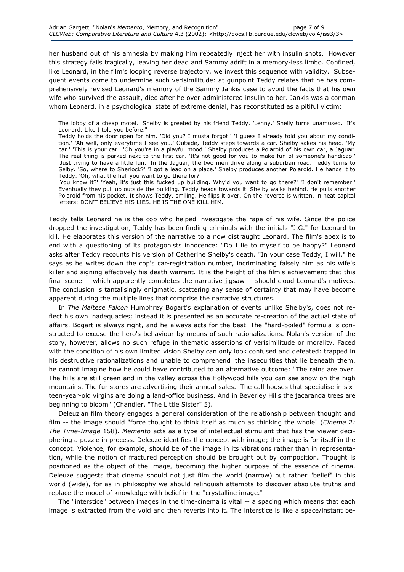Adrian Gargett, "Nolan's Memento, Memory, and Recognition" https://www.page 7 of 9 CLCWeb: Comparative Literature and Culture 4.3 (2002): <http://docs.lib.purdue.edu/clcweb/vol4/iss3/3>

her husband out of his amnesia by making him repeatedly inject her with insulin shots. However this strategy fails tragically, leaving her dead and Sammy adrift in a memory-less limbo. Confined, like Leonard, in the film's looping reverse trajectory, we invest this sequence with validity. Subsequent events come to undermine such verisimilitude: at gunpoint Teddy relates that he has comprehensively revised Leonard's memory of the Sammy Jankis case to avoid the facts that his own wife who survived the assault, died after he over-administered insulin to her. Jankis was a conman whom Leonard, in a psychological state of extreme denial, has reconstituted as a pitiful victim:

The lobby of a cheap motel. Shelby is greeted by his friend Teddy. 'Lenny.' Shelly turns unamused. 'It's Leonard. Like I told you before."

Teddy holds the door open for him. 'Did you? I musta forgot.' 'I guess I already told you about my condition.' 'Ah well, only everytime I see you.' Outside, Teddy steps towards a car. Shelby sakes his head. 'My car.' 'This is your car.' 'Oh you're in a playful mood.' Shelby produces a Polaroid of his own car, a Jaguar. The real thing is parked next to the first car. 'It's not good for you to make fun of someone's handicap. 'Just trying to have a little fun.' In the Jaguar, the two men drive along a suburban road. Teddy turns to Selby. 'So, where to Sherlock?' 'I got a lead on a place.' Shelby produces another Polaroid. He hands it to Teddy. 'Oh, what the hell you want to go there for?'

'You know it?' 'Yeah, it's just this fucked up building. Why'd you want to go there?' 'I don't remember.' Eventually they pull up outside the building. Teddy heads towards it. Shelby walks behind. He pulls another Polaroid from his pocket. It shows Teddy, smiling. He flips it over. On the reverse is written, in neat capital letters: DON'T BELIEVE HIS LIES. HE IS THE ONE KILL HIM.

Teddy tells Leonard he is the cop who helped investigate the rape of his wife. Since the police dropped the investigation, Teddy has been finding criminals with the initials "J.G." for Leonard to kill. He elaborates this version of the narrative to a now distraught Leonard. The film's apex is to end with a questioning of its protagonists innocence: "Do I lie to myself to be happy?" Leonard asks after Teddy recounts his version of Catherine Shelby's death. "In your case Teddy, I will," he says as he writes down the cop's car-registration number, incriminating falsely him as his wife's killer and signing effectively his death warrant. It is the height of the film's achievement that this final scene -- which apparently completes the narrative jigsaw -- should cloud Leonard's motives. The conclusion is tantalisingly enigmatic, scattering any sense of certainty that may have become apparent during the multiple lines that comprise the narrative structures.

In The Maltese Falcon Humphrey Bogart's explanation of events unlike Shelby's, does not reflect his own inadequacies; instead it is presented as an accurate re-creation of the actual state of affairs. Bogart is always right, and he always acts for the best. The "hard-boiled" formula is constructed to excuse the hero's behaviour by means of such rationalizations. Nolan's version of the story, however, allows no such refuge in thematic assertions of verisimilitude or morality. Faced with the condition of his own limited vision Shelby can only look confused and defeated: trapped in his destructive rationalizations and unable to comprehend the insecurities that lie beneath them, he cannot imagine how he could have contributed to an alternative outcome: "The rains are over. The hills are still green and in the valley across the Hollywood hills you can see snow on the high mountains. The fur stores are advertising their annual sales. The call houses that specialise in sixteen-year-old virgins are doing a land-office business. And in Beverley Hills the jacaranda trees are beginning to bloom" (Chandler, "The Little Sister" 5).

Deleuzian film theory engages a general consideration of the relationship between thought and film  $-$ - the image should "force thought to think itself as much as thinking the whole" (Cinema 2: The Time-Image 158). Memento acts as a type of intellectual stimulant that has the viewer deciphering a puzzle in process. Deleuze identifies the concept with image; the image is for itself in the concept. Violence, for example, should be of the image in its vibrations rather than in representation, while the notion of fractured perception should be brought out by composition. Thought is positioned as the object of the image, becoming the higher purpose of the essence of cinema. Deleuze suggests that cinema should not just film the world (narrow) but rather "belief" in this world (wide), for as in philosophy we should relinquish attempts to discover absolute truths and replace the model of knowledge with belief in the "crystalline image."

The "interstice" between images in the time-cinema is vital -- a spacing which means that each image is extracted from the void and then reverts into it. The interstice is like a space/instant be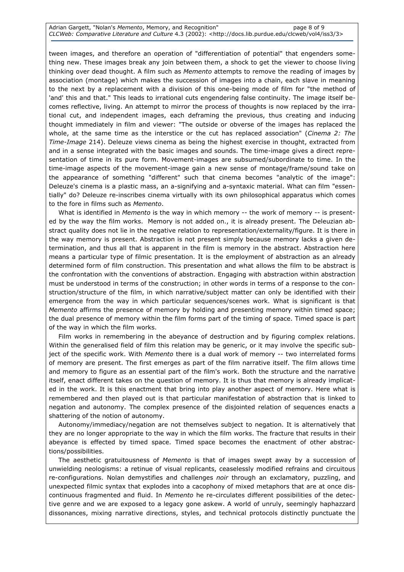tween images, and therefore an operation of "differentiation of potential" that engenders something new. These images break any join between them, a shock to get the viewer to choose living thinking over dead thought. A film such as Memento attempts to remove the reading of images by association (montage) which makes the succession of images into a chain, each slave in meaning to the next by a replacement with a division of this one-being mode of film for "the method of 'and' this and that." This leads to irrational cuts engendering false continuity. The image itself becomes reflective, living. An attempt to mirror the process of thoughts is now replaced by the irrational cut, and independent images, each deframing the previous, thus creating and inducing thought immediately in film and viewer: "The outside or obverse of the images has replaced the whole, at the same time as the interstice or the cut has replaced association" (Cinema 2: The Time-Image 214). Deleuze views cinema as being the highest exercise in thought, extracted from and in a sense integrated with the basic images and sounds. The time-image gives a direct representation of time in its pure form. Movement-images are subsumed/subordinate to time. In the time-image aspects of the movement-image gain a new sense of montage/frame/sound take on the appearance of something "different" such that cinema becomes "analytic of the image": Deleuze's cinema is a plastic mass, an a-signifying and a-syntaxic material. What can film "essentially" do? Deleuze re-inscribes cinema virtually with its own philosophical apparatus which comes to the fore in films such as Memento.

What is identified in Memento is the way in which memory -- the work of memory -- is presented by the way the film works. Memory is not added on., it is already present. The Deleuzian abstract quality does not lie in the negative relation to representation/externality/figure. It is there in the way memory is present. Abstraction is not present simply because memory lacks a given determination, and thus all that is apparent in the film is memory in the abstract. Abstraction here means a particular type of filmic presentation. It is the employment of abstraction as an already determined form of film construction. This presentation and what allows the film to be abstract is the confrontation with the conventions of abstraction. Engaging with abstraction within abstraction must be understood in terms of the construction; in other words in terms of a response to the construction/structure of the film, in which narrative/subject matter can only be identified with their emergence from the way in which particular sequences/scenes work. What is significant is that Memento affirms the presence of memory by holding and presenting memory within timed space; the dual presence of memory within the film forms part of the timing of space. Timed space is part of the way in which the film works.

Film works in remembering in the abeyance of destruction and by figuring complex relations. Within the generalised field of film this relation may be generic, or it may involve the specific subject of the specific work. With Memento there is a dual work of memory -- two interrelated forms of memory are present. The first emerges as part of the film narrative itself. The film allows time and memory to figure as an essential part of the film's work. Both the structure and the narrative itself, enact different takes on the question of memory. It is thus that memory is already implicated in the work. It is this enactment that bring into play another aspect of memory. Here what is remembered and then played out is that particular manifestation of abstraction that is linked to negation and autonomy. The complex presence of the disjointed relation of sequences enacts a shattering of the notion of autonomy.

Autonomy/immediacy/negation are not themselves subject to negation. It is alternatively that they are no longer appropriate to the way in which the film works. The fracture that results in their abeyance is effected by timed space. Timed space becomes the enactment of other abstractions/possibilities.

The aesthetic gratuitousness of Memento is that of images swept away by a succession of unwielding neologisms: a retinue of visual replicants, ceaselessly modified refrains and circuitous re-configurations. Nolan demystifies and challenges noir through an exclamatory, puzzling, and unexpected filmic syntax that explodes into a cacophony of mixed metaphors that are at once discontinuous fragmented and fluid. In Memento he re-circulates different possibilities of the detective genre and we are exposed to a legacy gone askew. A world of unruly, seemingly haphazzard dissonances, mixing narrative directions, styles, and technical protocols distinctly punctuate the